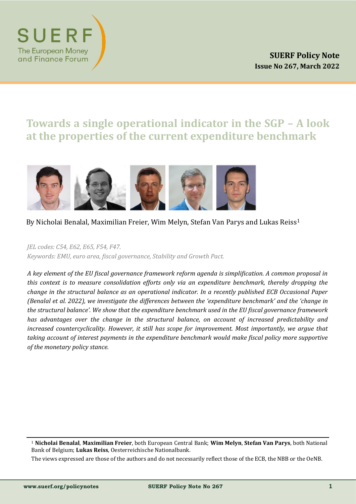

# **Towards a single operational indicator in the SGP – A look at the properties of the current expenditure benchmark**



## By Nicholai Benalal, Maximilian Freier, Wim Melyn, Stefan Van Parys and Lukas Reiss<sup>1</sup>

*JEL codes: C54, E62, E65, F54, F47.*

*Keywords: EMU, euro area, fiscal governance, Stability and Growth Pact.*

*A key element of the EU fiscal governance framework reform agenda is simplification. A common proposal in this context is to measure consolidation efforts only via an expenditure benchmark, thereby dropping the change in the structural balance as an operational indicator. In a recently published ECB Occasional Paper (Benalal et al. 2022), we investigate the differences between the 'expenditure benchmark' and the 'change in the structural balance'. We show that the expenditure benchmark used in the EU fiscal governance framework has advantages over the change in the structural balance, on account of increased predictability and increased countercyclicality. However, it still has scope for improvement. Most importantly, we argue that taking account of interest payments in the expenditure benchmark would make fiscal policy more supportive of the monetary policy stance.*

<sup>1</sup> **Nicholai Benalal**, **Maximilian Freier**, both European Central Bank; **Wim Melyn**, **Stefan Van Parys**, both National Bank of Belgium; **Lukas Reiss**, Oesterreichische Nationalbank.

The views expressed are those of the authors and do not necessarily reflect those of the ECB, the NBB or the OeNB.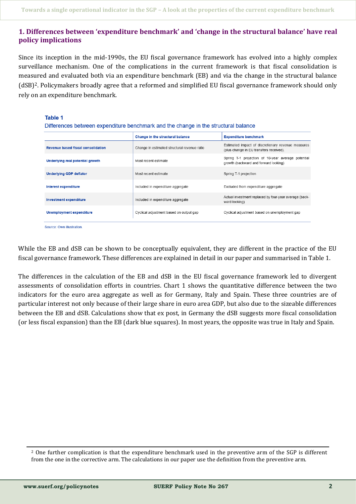## **1. Differences between 'expenditure benchmark' and 'change in the structural balance' have real policy implications**

Since its inception in the mid-1990s, the EU fiscal governance framework has evolved into a highly complex surveillance mechanism. One of the complications in the current framework is that fiscal consolidation is measured and evaluated both via an expenditure benchmark (EB) and via the change in the structural balance (dSB)2. Policymakers broadly agree that a reformed and simplified EU fiscal governance framework should only rely on an expenditure benchmark.

#### **Table 1**

Differences between expenditure benchmark and the change in the structural balance

|                                    | Change in the structural balance             | <b>Expenditure benchmark</b>                                                                  |
|------------------------------------|----------------------------------------------|-----------------------------------------------------------------------------------------------|
| Revenue based fiscal consolidation | Change in estimated structural revenue ratio | Estimated impact of discretionary revenue measures<br>(plus change in EU transfers received). |
| Underlying real potential growth   | Most recent estimate                         | Spring T-1 projection of 10-year average potential<br>growth (backward and forward looking)   |
| Underlying GDP deflator            | Most recent estimate                         | Spring T-1 projection                                                                         |
| Interest expenditure               | Included in expenditure aggregate            | Excluded from expenditure aggregate                                                           |
| <b>Investment expenditure</b>      | Included in expenditure aggregate            | Actual investment replaced by four-year average (back-<br>ward looking)                       |
| Unemployment expenditure           | Cyclical adjustment based on output gap      | Cyclical adjustment based on unemployment gap                                                 |

Source: Own illustration

While the EB and dSB can be shown to be conceptually equivalent, they are different in the practice of the EU fiscal governance framework. These differences are explained in detail in our paper and summarised in Table 1.

The differences in the calculation of the EB and dSB in the EU fiscal governance framework led to divergent assessments of consolidation efforts in countries. Chart 1 shows the quantitative difference between the two indicators for the euro area aggregate as well as for Germany, Italy and Spain. These three countries are of particular interest not only because of their large share in euro area GDP, but also due to the sizeable differences between the EB and dSB. Calculations show that ex post, in Germany the dSB suggests more fiscal consolidation (or less fiscal expansion) than the EB (dark blue squares). In most years, the opposite was true in Italy and Spain.

<sup>2</sup> One further complication is that the expenditure benchmark used in the preventive arm of the SGP is different from the one in the corrective arm. The calculations in our paper use the definition from the preventive arm.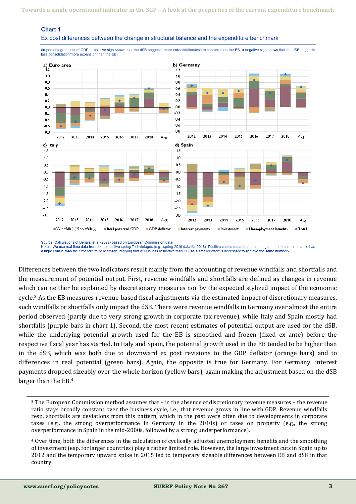

Ex post differences between the change in structural balance and the expenditure benchmark

(in percentage points of GDP; a positive sign shows that the dSB suggests more consolidation/less expansion than the EB, a negative sign shows that the dSB suggests less consolidation/more expansion than the EB)

Source: Calculations of Benalal et al (2022) based on European Commission data. Notes: We use real time data from the respective spring T+1 vintages (e.g., spring 2019 data for 2018). Positive values mean that the change in the structural balance has a higher value than the expenditure benchmark, implying that dSB is less restrictive than EB (as a smaller effort is necessary to achieve the same number)

Differences between the two indicators result mainly from the accounting of revenue windfalls and shortfalls and the measurement of potential output. First, revenue windfalls and shortfalls are defined as changes in revenue which can neither be explained by discretionary measures nor by the expected stylized impact of the economic cycle.<sup>3</sup> As the EB measures revenue-based fiscal adjustments via the estimated impact of discretionary measures, such windfalls or shortfalls only impact the dSB. There were revenue windfalls in Germany over almost the entire period observed (partly due to very strong growth in corporate tax revenue), while Italy and Spain mostly had shortfalls (purple bars in chart 1). Second, the most recent estimates of potential output are used for the dSB, while the underlying potential growth used for the EB is smoothed and frozen (fixed ex ante) before the respective fiscal year has started. In Italy and Spain, the potential growth used in the EB tended to be higher than in the dSB, which was both due to downward ex post revisions to the GDP deflator (orange bars) and to differences in real potential (green bars). Again, the opposite is true for Germany. For Germany, interest payments dropped sizeably over the whole horizon (yellow bars), again making the adjustment based on the dSB larger than the EB.<sup>4</sup>

Chart 1

<sup>3</sup> The European Commission method assumes that – in the absence of discretionary revenue measures – the revenue ratio stays broadly constant over the business cycle, i.e., that revenue grows in line with GDP. Revenue windfalls resp. shortfalls are deviations from this pattern, which in the past were often due to developments in corporate taxes (e.g., the strong overperformance in Germany in the 2010s) or taxes on property (e.g., the strong overperformance in Spain in the mid-2000s, followed by a strong underperformance).

<sup>4</sup> Over time, both the differences in the calculation of cyclically adjusted unemployment benefits and the smoothing of investment (esp. for larger countries) play a rather limited role. However, the large investment cuts in Spain up to 2012 and the temporary upward spike in 2015 led to temporary sizeable differences between EB and dSB in that country.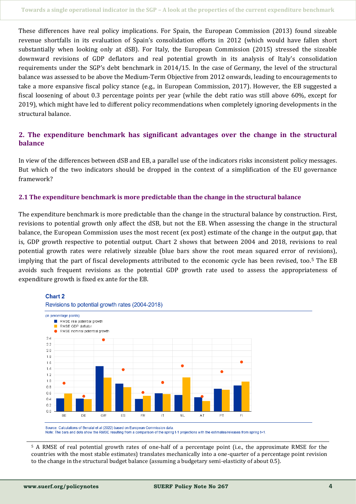These differences have real policy implications. For Spain, the European Commission (2013) found sizeable revenue shortfalls in its evaluation of Spain's consolidation efforts in 2012 (which would have fallen short substantially when looking only at dSB). For Italy, the European Commission (2015) stressed the sizeable downward revisions of GDP deflators and real potential growth in its analysis of Italy's consolidation requirements under the SGP's debt benchmark in 2014/15. In the case of Germany, the level of the structural balance was assessed to be above the Medium-Term Objective from 2012 onwards, leading to encouragements to take a more expansive fiscal policy stance (e.g., in European Commission, 2017). However, the EB suggested a fiscal loosening of about 0.3 percentage points per year (while the debt ratio was still above 60%, except for 2019), which might have led to different policy recommendations when completely ignoring developments in the structural balance.

## **2. The expenditure benchmark has significant advantages over the change in the structural balance**

In view of the differences between dSB and EB, a parallel use of the indicators risks inconsistent policy messages. But which of the two indicators should be dropped in the context of a simplification of the EU governance framework?

#### **2.1 The expenditure benchmark is more predictable than the change in the structural balance**

The expenditure benchmark is more predictable than the change in the structural balance by construction. First, revisions to potential growth only affect the dSB, but not the EB. When assessing the change in the structural balance, the European Commission uses the most recent (ex post) estimate of the change in the output gap, that is, GDP growth respective to potential output. Chart 2 shows that between 2004 and 2018, revisions to real potential growth rates were relatively sizeable (blue bars show the root mean squared error of revisions), implying that the part of fiscal developments attributed to the economic cycle has been revised, too.<sup>5</sup> The EB avoids such frequent revisions as the potential GDP growth rate used to assess the appropriateness of expenditure growth is fixed ex ante for the EB.

#### **Chart 2**





Source: Calculations of Benalal et al (2022) based on European Commission data Note: The bars and dots show the RMSE resulting from a comparison of the spring t-1 projections with the estimates/releases from spring t+1.

<sup>5</sup> A RMSE of real potential growth rates of one-half of a percentage point (i.e., the approximate RMSE for the countries with the most stable estimates) translates mechanically into a one-quarter of a percentage point revision to the change in the structural budget balance (assuming a budgetary semi-elasticity of about 0.5).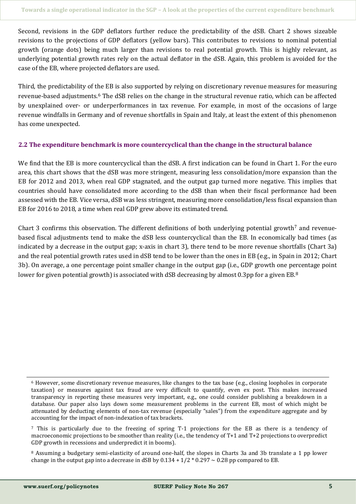Second, revisions in the GDP deflators further reduce the predictability of the dSB. Chart 2 shows sizeable revisions to the projections of GDP deflators (yellow bars). This contributes to revisions to nominal potential growth (orange dots) being much larger than revisions to real potential growth. This is highly relevant, as underlying potential growth rates rely on the actual deflator in the dSB. Again, this problem is avoided for the case of the EB, where projected deflators are used.

Third, the predictability of the EB is also supported by relying on discretionary revenue measures for measuring revenue-based adjustments.<sup>6</sup> The dSB relies on the change in the structural revenue ratio, which can be affected by unexplained over- or underperformances in tax revenue. For example, in most of the occasions of large revenue windfalls in Germany and of revenue shortfalls in Spain and Italy, at least the extent of this phenomenon has come unexpected.

#### **2.2 The expenditure benchmark is more countercyclical than the change in the structural balance**

We find that the EB is more countercyclical than the dSB. A first indication can be found in Chart 1. For the euro area, this chart shows that the dSB was more stringent, measuring less consolidation/more expansion than the EB for 2012 and 2013, when real GDP stagnated, and the output gap turned more negative. This implies that countries should have consolidated more according to the dSB than when their fiscal performance had been assessed with the EB. Vice versa, dSB was less stringent, measuring more consolidation/less fiscal expansion than EB for 2016 to 2018, a time when real GDP grew above its estimated trend.

Chart 3 confirms this observation. The different definitions of both underlying potential growth<sup>7</sup> and revenuebased fiscal adjustments tend to make the dSB less countercyclical than the EB. In economically bad times (as indicated by a decrease in the output gap; x-axis in chart 3), there tend to be more revenue shortfalls (Chart 3a) and the real potential growth rates used in dSB tend to be lower than the ones in EB (e.g., in Spain in 2012; Chart 3b). On average, a one percentage point smaller change in the output gap (i.e., GDP growth one percentage point lower for given potential growth) is associated with dSB decreasing by almost 0.3pp for a given EB.<sup>8</sup>

<sup>6</sup> However, some discretionary revenue measures, like changes to the tax base (e.g., closing loopholes in corporate taxation) or measures against tax fraud are very difficult to quantify, even ex post. This makes increased transparency in reporting these measures very important, e.g., one could consider publishing a breakdown in a database. Our paper also lays down some measurement problems in the current EB, most of which might be attenuated by deducting elements of non-tax revenue (especially "sales") from the expenditure aggregate and by accounting for the impact of non-indexation of tax brackets.

<sup>7</sup> This is particularly due to the freezing of spring T-1 projections for the EB as there is a tendency of macroeconomic projections to be smoother than reality (i.e., the tendency of T+1 and T+2 projections to overpredict GDP growth in recessions and underpredict it in booms).

<sup>8</sup> Assuming a budgetary semi-elasticity of around one-half, the slopes in Charts 3a and 3b translate a 1 pp lower change in the output gap into a decrease in dSB by  $0.134 + 1/2 * 0.297 \sim 0.28$  pp compared to EB.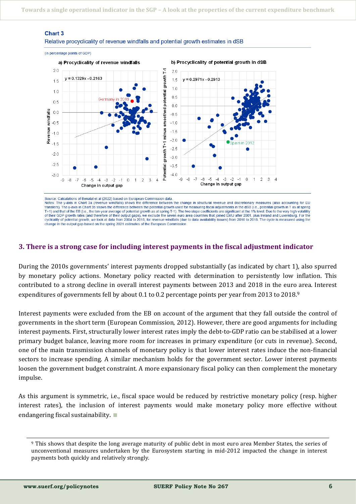#### **Chart 3**

Relative procyclicality of revenue windfalls and potential growth estimates in dSB



Source: Calculations of Benalal et al (2022) based on European Commission data Notes: The y-axis in Chart 3a (revenue windfalls) shows the difference between the change in structural revenue and discretionary measures (also accounting for EU transfers). The y-axis in Chart 3b shows the difference between the potential growth used for measuring fiscal adjustments in the dSB (i.e., potential growth in T as at spring T+1) and that of the EB (i.e., the ten-year average of potential growth as at spring T-1). The two slope coefficients are significant at the 1% level. Due to the very high volatility of their GDP growth rates (and therefore of their output gaps), we exclude the seven euro area countries that ioined EMU after 2001, plus Ireland and Luxemburg. For the cyclicality of potential growth, we look at data from 2004 to 2018; for revenue windfalls (due to data availability issues) from 2010 to 2018. The cycle is measured using the change in the output gap based on the spring 2021 estimates of the European Commission

#### **3. There is a strong case for including interest payments in the fiscal adjustment indicator**

During the 2010s governments' interest payments dropped substantially (as indicated by chart 1), also spurred by monetary policy actions. Monetary policy reacted with determination to persistently low inflation. This contributed to a strong decline in overall interest payments between 2013 and 2018 in the euro area. Interest expenditures of governments fell by about 0.1 to 0.2 percentage points per year from 2013 to 2018.<sup>9</sup>

Interest payments were excluded from the EB on account of the argument that they fall outside the control of governments in the short term (European Commission, 2012). However, there are good arguments for including interest payments. First, structurally lower interest rates imply the debt-to-GDP ratio can be stabilised at a lower primary budget balance, leaving more room for increases in primary expenditure (or cuts in revenue). Second, one of the main transmission channels of monetary policy is that lower interest rates induce the non-financial sectors to increase spending. A similar mechanism holds for the government sector. Lower interest payments loosen the government budget constraint. A more expansionary fiscal policy can then complement the monetary impulse.

As this argument is symmetric, i.e., fiscal space would be reduced by restrictive monetary policy (resp. higher interest rates), the inclusion of interest payments would make monetary policy more effective without endangering fiscal sustainability. ∎

<sup>9</sup> This shows that despite the long average maturity of public debt in most euro area Member States, the series of unconventional measures undertaken by the Eurosystem starting in mid-2012 impacted the change in interest payments both quickly and relatively strongly.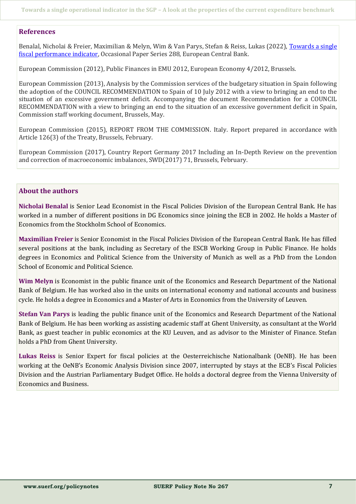#### **References**

Benalal, Nicholai & Freier, Maximilian & Melyn, Wim & Van Parys, Stefan & Reiss, Lukas (2022), [Towards a single](https://www.ecb.europa.eu/pub/pdf/scpops/ecb.op288~b3b265ed14.en.pdf)  [fiscal performance indicator,](https://www.ecb.europa.eu/pub/pdf/scpops/ecb.op288~b3b265ed14.en.pdf) Occasional Paper Series 288, European Central Bank.

European Commission (2012), Public Finances in EMU 2012, European Economy 4/2012, Brussels.

European Commission (2013), Analysis by the Commission services of the budgetary situation in Spain following the adoption of the COUNCIL RECOMMENDATION to Spain of 10 July 2012 with a view to bringing an end to the situation of an excessive government deficit. Accompanying the document Recommendation for a COUNCIL RECOMMENDATION with a view to bringing an end to the situation of an excessive government deficit in Spain, Commission staff working document, Brussels, May.

European Commission (2015), REPORT FROM THE COMMISSION. Italy. Report prepared in accordance with Article 126(3) of the Treaty, Brussels, February.

European Commission (2017), Country Report Germany 2017 Including an In-Depth Review on the prevention and correction of macroeconomic imbalances, SWD(2017) 71, Brussels, February.

## **About the authors**

**Nicholai Benalal** is Senior Lead Economist in the Fiscal Policies Division of the European Central Bank. He has worked in a number of different positions in DG Economics since joining the ECB in 2002. He holds a Master of Economics from the Stockholm School of Economics.

**Maximilian Freier** is Senior Economist in the Fiscal Policies Division of the European Central Bank. He has filled several positions at the bank, including as Secretary of the ESCB Working Group in Public Finance. He holds degrees in Economics and Political Science from the University of Munich as well as a PhD from the London School of Economic and Political Science.

**Wim Melyn** is Economist in the public finance unit of the Economics and Research Department of the National Bank of Belgium. He has worked also in the units on international economy and national accounts and business cycle. He holds a degree in Economics and a Master of Arts in Economics from the University of Leuven.

**Stefan Van Parys** is leading the public finance unit of the Economics and Research Department of the National Bank of Belgium. He has been working as assisting academic staff at Ghent University, as consultant at the World Bank, as guest teacher in public economics at the KU Leuven, and as advisor to the Minister of Finance. Stefan holds a PhD from Ghent University.

**Lukas Reiss** is Senior Expert for fiscal policies at the Oesterreichische Nationalbank (OeNB). He has been working at the OeNB's Economic Analysis Division since 2007, interrupted by stays at the ECB's Fiscal Policies Division and the Austrian Parliamentary Budget Office. He holds a doctoral degree from the Vienna University of Economics and Business.